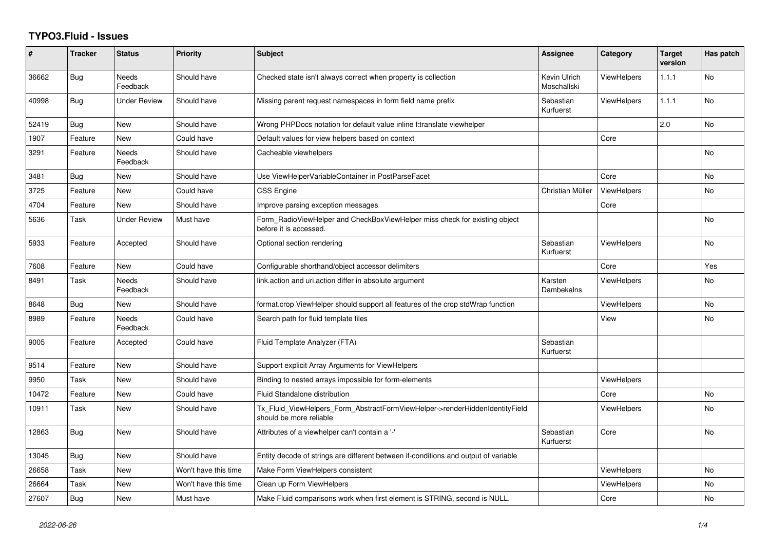## **TYPO3.Fluid - Issues**

| ∦     | <b>Tracker</b> | <b>Status</b>            | <b>Priority</b>      | <b>Subject</b>                                                                                         | <b>Assignee</b>             | Category           | <b>Target</b><br>version | Has patch |
|-------|----------------|--------------------------|----------------------|--------------------------------------------------------------------------------------------------------|-----------------------------|--------------------|--------------------------|-----------|
| 36662 | <b>Bug</b>     | <b>Needs</b><br>Feedback | Should have          | Checked state isn't always correct when property is collection                                         | Kevin Ulrich<br>Moschallski | <b>ViewHelpers</b> | 1.1.1                    | <b>No</b> |
| 40998 | <b>Bug</b>     | <b>Under Review</b>      | Should have          | Missing parent request namespaces in form field name prefix                                            | Sebastian<br>Kurfuerst      | <b>ViewHelpers</b> | 1.1.1                    | <b>No</b> |
| 52419 | <b>Bug</b>     | New                      | Should have          | Wrong PHPDocs notation for default value inline f:translate viewhelper                                 |                             |                    | 2.0                      | No        |
| 1907  | Feature        | New                      | Could have           | Default values for view helpers based on context                                                       |                             | Core               |                          |           |
| 3291  | Feature        | Needs<br>Feedback        | Should have          | Cacheable viewhelpers                                                                                  |                             |                    |                          | <b>No</b> |
| 3481  | Bug            | New                      | Should have          | Use ViewHelperVariableContainer in PostParseFacet                                                      |                             | Core               |                          | <b>No</b> |
| 3725  | Feature        | <b>New</b>               | Could have           | <b>CSS Engine</b>                                                                                      | Christian Müller            | ViewHelpers        |                          | <b>No</b> |
| 4704  | Feature        | New                      | Should have          | Improve parsing exception messages                                                                     |                             | Core               |                          |           |
| 5636  | Task           | <b>Under Review</b>      | Must have            | Form RadioViewHelper and CheckBoxViewHelper miss check for existing object<br>before it is accessed.   |                             |                    |                          | No        |
| 5933  | Feature        | Accepted                 | Should have          | Optional section rendering                                                                             | Sebastian<br>Kurfuerst      | <b>ViewHelpers</b> |                          | <b>No</b> |
| 7608  | Feature        | New                      | Could have           | Configurable shorthand/object accessor delimiters                                                      |                             | Core               |                          | Yes       |
| 8491  | Task           | <b>Needs</b><br>Feedback | Should have          | link.action and uri.action differ in absolute argument                                                 | Karsten<br>Dambekalns       | <b>ViewHelpers</b> |                          | <b>No</b> |
| 8648  | Bug            | New                      | Should have          | format.crop ViewHelper should support all features of the crop stdWrap function                        |                             | <b>ViewHelpers</b> |                          | <b>No</b> |
| 8989  | Feature        | Needs<br>Feedback        | Could have           | Search path for fluid template files                                                                   |                             | View               |                          | No.       |
| 9005  | Feature        | Accepted                 | Could have           | Fluid Template Analyzer (FTA)                                                                          | Sebastian<br>Kurfuerst      |                    |                          |           |
| 9514  | Feature        | New                      | Should have          | Support explicit Array Arguments for ViewHelpers                                                       |                             |                    |                          |           |
| 9950  | Task           | New                      | Should have          | Binding to nested arrays impossible for form-elements                                                  |                             | <b>ViewHelpers</b> |                          |           |
| 10472 | Feature        | <b>New</b>               | Could have           | Fluid Standalone distribution                                                                          |                             | Core               |                          | <b>No</b> |
| 10911 | Task           | New                      | Should have          | Tx_Fluid_ViewHelpers_Form_AbstractFormViewHelper->renderHiddenIdentityField<br>should be more reliable |                             | <b>ViewHelpers</b> |                          | <b>No</b> |
| 12863 | Bug            | New                      | Should have          | Attributes of a viewhelper can't contain a '-'                                                         | Sebastian<br>Kurfuerst      | Core               |                          | <b>No</b> |
| 13045 | <b>Bug</b>     | <b>New</b>               | Should have          | Entity decode of strings are different between if-conditions and output of variable                    |                             |                    |                          |           |
| 26658 | Task           | New                      | Won't have this time | Make Form ViewHelpers consistent                                                                       |                             | <b>ViewHelpers</b> |                          | No        |
| 26664 | Task           | <b>New</b>               | Won't have this time | Clean up Form ViewHelpers                                                                              |                             | <b>ViewHelpers</b> |                          | No        |
| 27607 | Bug            | New                      | Must have            | Make Fluid comparisons work when first element is STRING, second is NULL.                              |                             | Core               |                          | <b>No</b> |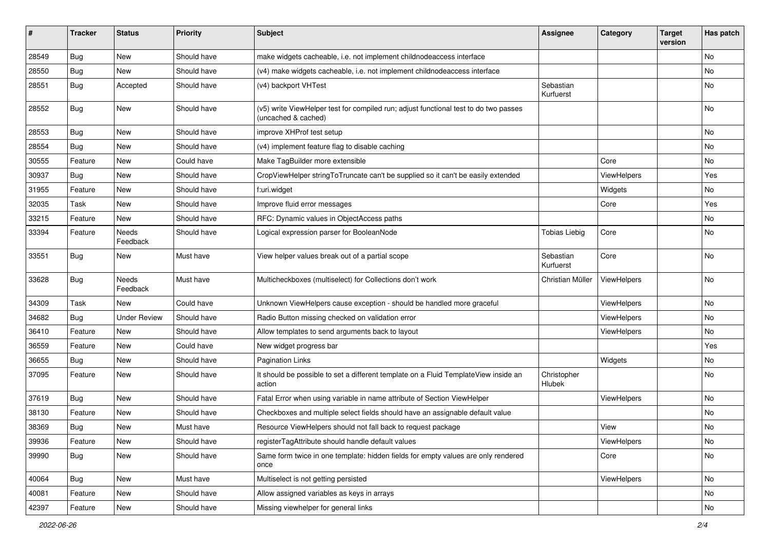| #     | <b>Tracker</b> | <b>Status</b>            | <b>Priority</b> | Subject                                                                                                     | <b>Assignee</b>        | Category    | <b>Target</b><br>version | Has patch |
|-------|----------------|--------------------------|-----------------|-------------------------------------------------------------------------------------------------------------|------------------------|-------------|--------------------------|-----------|
| 28549 | Bug            | New                      | Should have     | make widgets cacheable, i.e. not implement childnodeaccess interface                                        |                        |             |                          | <b>No</b> |
| 28550 | Bug            | New                      | Should have     | (v4) make widgets cacheable, i.e. not implement childnodeaccess interface                                   |                        |             |                          | No        |
| 28551 | Bug            | Accepted                 | Should have     | (v4) backport VHTest                                                                                        | Sebastian<br>Kurfuerst |             |                          | No        |
| 28552 | Bug            | New                      | Should have     | (v5) write ViewHelper test for compiled run; adjust functional test to do two passes<br>(uncached & cached) |                        |             |                          | <b>No</b> |
| 28553 | Bug            | New                      | Should have     | improve XHProf test setup                                                                                   |                        |             |                          | No        |
| 28554 | Bug            | New                      | Should have     | (v4) implement feature flag to disable caching                                                              |                        |             |                          | No        |
| 30555 | Feature        | New                      | Could have      | Make TagBuilder more extensible                                                                             |                        | Core        |                          | No        |
| 30937 | Bug            | New                      | Should have     | CropViewHelper stringToTruncate can't be supplied so it can't be easily extended                            |                        | ViewHelpers |                          | Yes       |
| 31955 | Feature        | New                      | Should have     | f:uri.widget                                                                                                |                        | Widgets     |                          | No        |
| 32035 | Task           | <b>New</b>               | Should have     | Improve fluid error messages                                                                                |                        | Core        |                          | Yes       |
| 33215 | Feature        | New                      | Should have     | RFC: Dynamic values in ObjectAccess paths                                                                   |                        |             |                          | No        |
| 33394 | Feature        | <b>Needs</b><br>Feedback | Should have     | Logical expression parser for BooleanNode                                                                   | <b>Tobias Liebig</b>   | Core        |                          | <b>No</b> |
| 33551 | Bug            | New                      | Must have       | View helper values break out of a partial scope                                                             | Sebastian<br>Kurfuerst | Core        |                          | <b>No</b> |
| 33628 | Bug            | Needs<br>Feedback        | Must have       | Multicheckboxes (multiselect) for Collections don't work                                                    | Christian Müller       | ViewHelpers |                          | <b>No</b> |
| 34309 | Task           | New                      | Could have      | Unknown ViewHelpers cause exception - should be handled more graceful                                       |                        | ViewHelpers |                          | <b>No</b> |
| 34682 | Bug            | <b>Under Review</b>      | Should have     | Radio Button missing checked on validation error                                                            |                        | ViewHelpers |                          | No        |
| 36410 | Feature        | <b>New</b>               | Should have     | Allow templates to send arguments back to layout                                                            |                        | ViewHelpers |                          | No        |
| 36559 | Feature        | New                      | Could have      | New widget progress bar                                                                                     |                        |             |                          | Yes       |
| 36655 | Bug            | New                      | Should have     | <b>Pagination Links</b>                                                                                     |                        | Widgets     |                          | No        |
| 37095 | Feature        | New                      | Should have     | It should be possible to set a different template on a Fluid TemplateView inside an<br>action               | Christopher<br>Hlubek  |             |                          | No        |
| 37619 | Bug            | New                      | Should have     | Fatal Error when using variable in name attribute of Section ViewHelper                                     |                        | ViewHelpers |                          | No        |
| 38130 | Feature        | New                      | Should have     | Checkboxes and multiple select fields should have an assignable default value                               |                        |             |                          | No        |
| 38369 | Bug            | New                      | Must have       | Resource ViewHelpers should not fall back to request package                                                |                        | View        |                          | No        |
| 39936 | Feature        | New                      | Should have     | registerTagAttribute should handle default values                                                           |                        | ViewHelpers |                          | No        |
| 39990 | <b>Bug</b>     | New                      | Should have     | Same form twice in one template: hidden fields for empty values are only rendered<br>once                   |                        | Core        |                          | No        |
| 40064 | <b>Bug</b>     | New                      | Must have       | Multiselect is not getting persisted                                                                        |                        | ViewHelpers |                          | No        |
| 40081 | Feature        | New                      | Should have     | Allow assigned variables as keys in arrays                                                                  |                        |             |                          | No        |
| 42397 | Feature        | New                      | Should have     | Missing viewhelper for general links                                                                        |                        |             |                          | No        |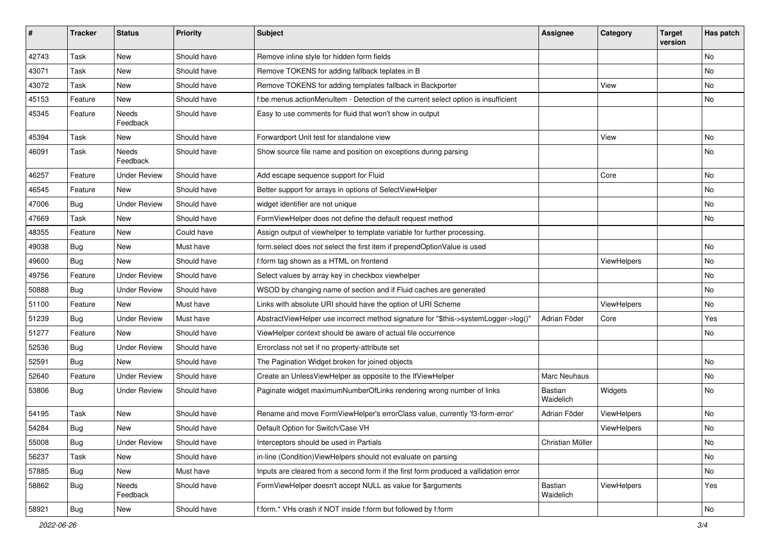| #     | <b>Tracker</b> | <b>Status</b>       | <b>Priority</b> | <b>Subject</b>                                                                       | Assignee             | Category    | <b>Target</b><br>version | Has patch     |
|-------|----------------|---------------------|-----------------|--------------------------------------------------------------------------------------|----------------------|-------------|--------------------------|---------------|
| 42743 | Task           | New                 | Should have     | Remove inline style for hidden form fields                                           |                      |             |                          | <b>No</b>     |
| 43071 | Task           | New                 | Should have     | Remove TOKENS for adding fallback teplates in B                                      |                      |             |                          | No            |
| 43072 | Task           | New                 | Should have     | Remove TOKENS for adding templates fallback in Backporter                            |                      | View        |                          | No            |
| 45153 | Feature        | <b>New</b>          | Should have     | f:be.menus.actionMenuItem - Detection of the current select option is insufficient   |                      |             |                          | No            |
| 45345 | Feature        | Needs<br>Feedback   | Should have     | Easy to use comments for fluid that won't show in output                             |                      |             |                          |               |
| 45394 | Task           | New                 | Should have     | Forwardport Unit test for standalone view                                            |                      | View        |                          | No            |
| 46091 | Task           | Needs<br>Feedback   | Should have     | Show source file name and position on exceptions during parsing                      |                      |             |                          | No            |
| 46257 | Feature        | <b>Under Review</b> | Should have     | Add escape sequence support for Fluid                                                |                      | Core        |                          | No            |
| 46545 | Feature        | New                 | Should have     | Better support for arrays in options of SelectViewHelper                             |                      |             |                          | No            |
| 47006 | Bug            | <b>Under Review</b> | Should have     | widget identifier are not unique                                                     |                      |             |                          | No            |
| 47669 | Task           | New                 | Should have     | FormViewHelper does not define the default request method                            |                      |             |                          | No            |
| 48355 | Feature        | New                 | Could have      | Assign output of viewhelper to template variable for further processing.             |                      |             |                          |               |
| 49038 | <b>Bug</b>     | New                 | Must have       | form.select does not select the first item if prependOptionValue is used             |                      |             |                          | No            |
| 49600 | Bug            | <b>New</b>          | Should have     | f:form tag shown as a HTML on frontend                                               |                      | ViewHelpers |                          | No            |
| 49756 | Feature        | <b>Under Review</b> | Should have     | Select values by array key in checkbox viewhelper                                    |                      |             |                          | No            |
| 50888 | Bug            | <b>Under Review</b> | Should have     | WSOD by changing name of section and if Fluid caches are generated                   |                      |             |                          | No            |
| 51100 | Feature        | <b>New</b>          | Must have       | Links with absolute URI should have the option of URI Scheme                         |                      | ViewHelpers |                          | No            |
| 51239 | Bug            | <b>Under Review</b> | Must have       | AbstractViewHelper use incorrect method signature for "\$this->systemLogger->log()"  | Adrian Föder         | Core        |                          | Yes           |
| 51277 | Feature        | <b>New</b>          | Should have     | ViewHelper context should be aware of actual file occurrence                         |                      |             |                          | No            |
| 52536 | Bug            | <b>Under Review</b> | Should have     | Errorclass not set if no property-attribute set                                      |                      |             |                          |               |
| 52591 | Bug            | New                 | Should have     | The Pagination Widget broken for joined objects                                      |                      |             |                          | No            |
| 52640 | Feature        | <b>Under Review</b> | Should have     | Create an UnlessViewHelper as opposite to the IfViewHelper                           | Marc Neuhaus         |             |                          | No            |
| 53806 | Bug            | <b>Under Review</b> | Should have     | Paginate widget maximumNumberOfLinks rendering wrong number of links                 | Bastian<br>Waidelich | Widgets     |                          | No            |
| 54195 | Task           | <b>New</b>          | Should have     | Rename and move FormViewHelper's errorClass value, currently 'f3-form-error'         | Adrian Föder         | ViewHelpers |                          | No            |
| 54284 | <b>Bug</b>     | New                 | Should have     | Default Option for Switch/Case VH                                                    |                      | ViewHelpers |                          | No            |
| 55008 | <b>Bug</b>     | <b>Under Review</b> | Should have     | Interceptors should be used in Partials                                              | Christian Müller     |             |                          | No            |
| 56237 | Task           | New                 | Should have     | in-line (Condition) View Helpers should not evaluate on parsing                      |                      |             |                          | No            |
| 57885 | <b>Bug</b>     | New                 | Must have       | Inputs are cleared from a second form if the first form produced a vallidation error |                      |             |                          | No            |
| 58862 | <b>Bug</b>     | Needs<br>Feedback   | Should have     | FormViewHelper doesn't accept NULL as value for \$arguments                          | Bastian<br>Waidelich | ViewHelpers |                          | Yes           |
| 58921 | <b>Bug</b>     | New                 | Should have     | f:form.* VHs crash if NOT inside f:form but followed by f:form                       |                      |             |                          | $\mathsf{No}$ |